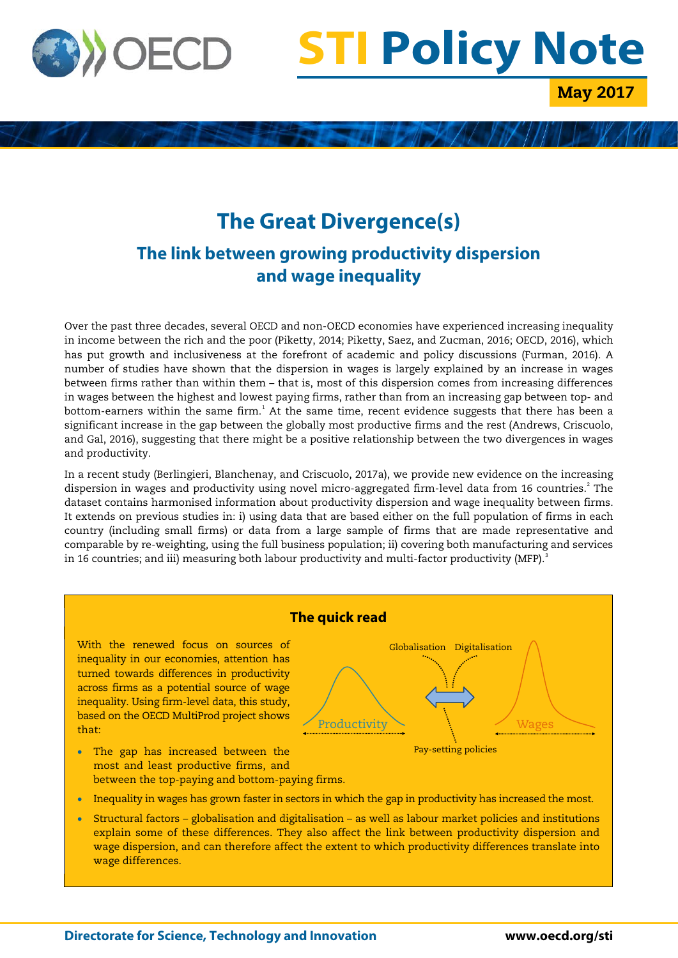

# **STI Policy Note**

May 2017

# **The Great Divergence(s) The link between growing productivity dispersion and wage inequality**

Over the past three decades, several OECD and non-OECD economies have experienced increasing inequality in income between the rich and the poor (Piketty, 2014; Piketty, Saez, and Zucman, 2016; OECD, 2016), which has put growth and inclusiveness at the forefront of academic and policy discussions (Furman, 2016). A number of studies have shown that the dispersion in wages is largely explained by an increase in wages between firms rather than within them – that is, most of this dispersion comes from increasing differences in wages between the highest and lowest paying firms, rather than from an increasing gap between top- and bottom-earners within the same firm. $^1$  $^1$  At the same time, recent evidence suggests that there has been a significant increase in the gap between the globally most productive firms and the rest (Andrews, Criscuolo, and Gal, 2016), suggesting that there might be a positive relationship between the two divergences in wages and productivity.

In a recent study (Berlingieri, Blanchenay, and Criscuolo, 2017a), we provide new evidence on the increasing dispersion in wages and productivity using novel micro-aggregated firm-level data from 16 countries.<sup>[2](#page-5-1)</sup> The dataset contains harmonised information about productivity dispersion and wage inequality between firms. It extends on previous studies in: i) using data that are based either on the full population of firms in each country (including small firms) or data from a large sample of firms that are made representative and comparable by re-weighting, using the full business population; ii) covering both manufacturing and services in 16 countries; and iii) measuring both labour productivity and multi-factor productivity (MFP).<sup>[3](#page-5-2)</sup>



• Structural factors – globalisation and digitalisation – as well as labour market policies and institutions explain some of these differences. They also affect the link between productivity dispersion and wage dispersion, and can therefore affect the extent to which productivity differences translate into wage differences.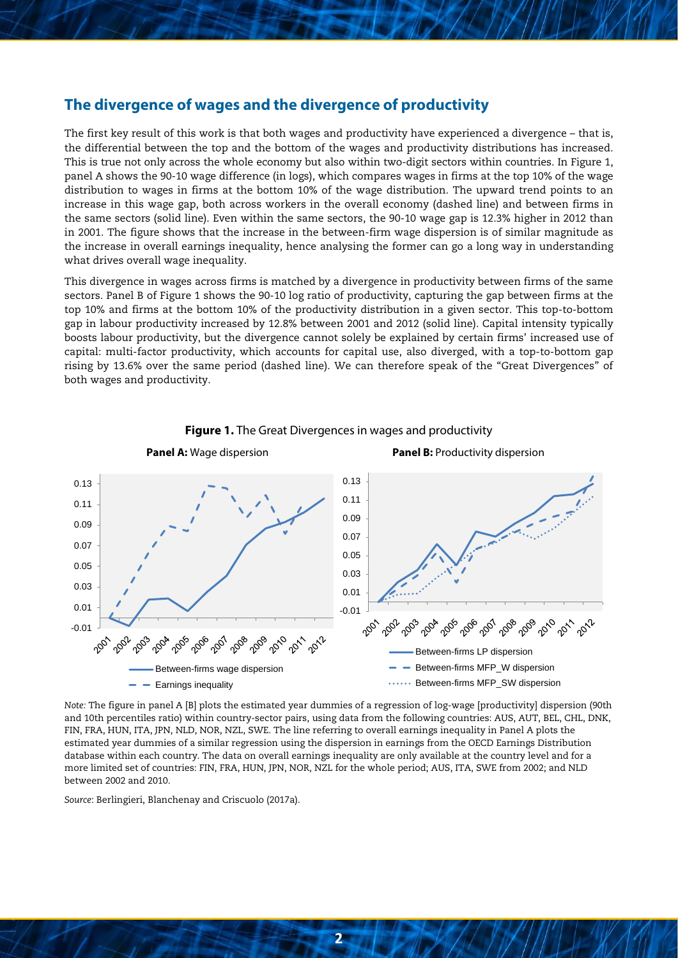#### **The divergence of wages and the divergence of productivity**

The first key result of this work is that both wages and productivity have experienced a divergence – that is, the differential between the top and the bottom of the wages and productivity distributions has increased. This is true not only across the whole economy but also within two-digit sectors within countries. In [Figure 1,](#page-1-0) panel A shows the 90-10 wage difference (in logs), which compares wages in firms at the top 10% of the wage distribution to wages in firms at the bottom 10% of the wage distribution. The upward trend points to an increase in this wage gap, both across workers in the overall economy (dashed line) and between firms in the same sectors (solid line). Even within the same sectors, the 90-10 wage gap is 12.3% higher in 2012 than in 2001. The figure shows that the increase in the between-firm wage dispersion is of similar magnitude as the increase in overall earnings inequality, hence analysing the former can go a long way in understanding what drives overall wage inequality.

This divergence in wages across firms is matched by a divergence in productivity between firms of the same sectors. Panel B of [Figure 1](#page-1-0) shows the 90-10 log ratio of productivity, capturing the gap between firms at the top 10% and firms at the bottom 10% of the productivity distribution in a given sector. This top-to-bottom gap in labour productivity increased by 12.8% between 2001 and 2012 (solid line). Capital intensity typically boosts labour productivity, but the divergence cannot solely be explained by certain firms' increased use of capital: multi-factor productivity, which accounts for capital use, also diverged, with a top-to-bottom gap rising by 13.6% over the same period (dashed line). We can therefore speak of the "Great Divergences" of both wages and productivity.

<span id="page-1-0"></span>

#### **Figure 1.** The Great Divergences in wages and productivity

*Note:* The figure in panel A [B] plots the estimated year dummies of a regression of log-wage [productivity] dispersion (90th and 10th percentiles ratio) within country-sector pairs, using data from the following countries: AUS, AUT, BEL, CHL, DNK, FIN, FRA, HUN, ITA, JPN, NLD, NOR, NZL, SWE. The line referring to overall earnings inequality in Panel A plots the estimated year dummies of a similar regression using the dispersion in earnings from the OECD Earnings Distribution database within each country. The data on overall earnings inequality are only available at the country level and for a more limited set of countries: FIN, FRA, HUN, JPN, NOR, NZL for the whole period; AUS, ITA, SWE from 2002; and NLD between 2002 and 2010.

*Source*: Berlingieri, Blanchenay and Criscuolo (2017a).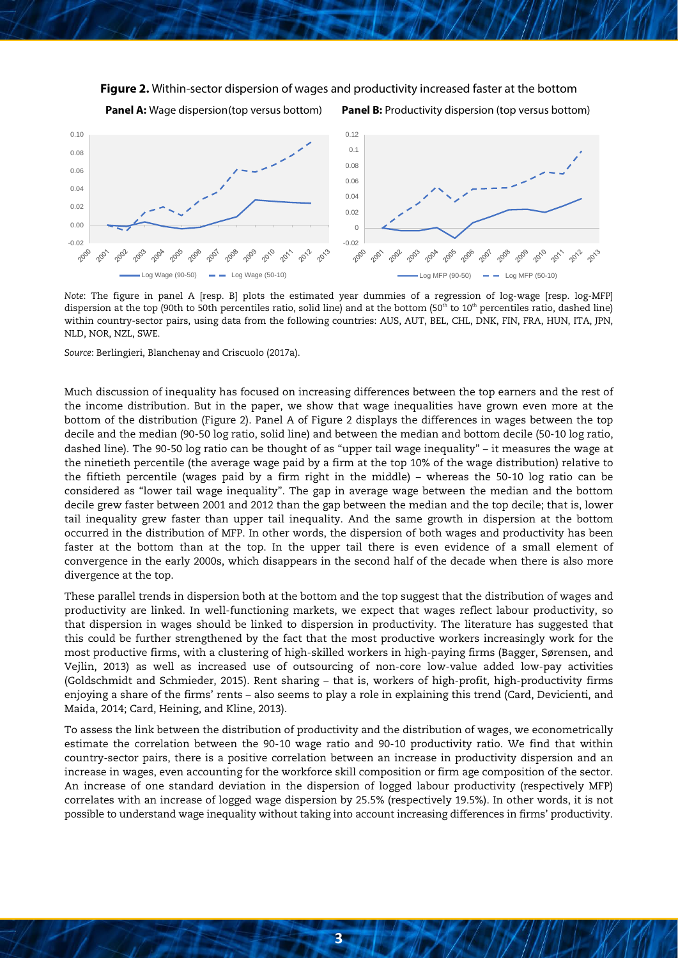#### <span id="page-2-0"></span>**Figure 2.** Within-sector dispersion of wages and productivity increased faster at the bottom

**Panel A:** Wage dispersion(top versus bottom) **Panel B:** Productivity dispersion (top versus bottom)



*Note*: The figure in panel A [resp. B] plots the estimated year dummies of a regression of log-wage [resp. log-MFP] dispersion at the top (90th to 50th percentiles ratio, solid line) and at the bottom (50<sup>th</sup> to 10<sup>th</sup> percentiles ratio, dashed line) within country-sector pairs, using data from the following countries: AUS, AUT, BEL, CHL, DNK, FIN, FRA, HUN, ITA, JPN, NLD, NOR, NZL, SWE.

*Source*: Berlingieri, Blanchenay and Criscuolo (2017a).

Much discussion of inequality has focused on increasing differences between the top earners and the rest of the income distribution. But in the paper, we show that wage inequalities have grown even more at the bottom of the distribution [\(Figure 2\)](#page-2-0). Panel A of [Figure 2](#page-2-0) displays the differences in wages between the top decile and the median (90-50 log ratio, solid line) and between the median and bottom decile (50-10 log ratio, dashed line). The 90-50 log ratio can be thought of as "upper tail wage inequality" – it measures the wage at the ninetieth percentile (the average wage paid by a firm at the top 10% of the wage distribution) relative to the fiftieth percentile (wages paid by a firm right in the middle) – whereas the 50-10 log ratio can be considered as "lower tail wage inequality". The gap in average wage between the median and the bottom decile grew faster between 2001 and 2012 than the gap between the median and the top decile; that is, lower tail inequality grew faster than upper tail inequality. And the same growth in dispersion at the bottom occurred in the distribution of MFP. In other words, the dispersion of both wages and productivity has been faster at the bottom than at the top. In the upper tail there is even evidence of a small element of convergence in the early 2000s, which disappears in the second half of the decade when there is also more divergence at the top.

These parallel trends in dispersion both at the bottom and the top suggest that the distribution of wages and productivity are linked. In well-functioning markets, we expect that wages reflect labour productivity, so that dispersion in wages should be linked to dispersion in productivity. The literature has suggested that this could be further strengthened by the fact that the most productive workers increasingly work for the most productive firms, with a clustering of high-skilled workers in high-paying firms (Bagger, Sørensen, and Vejlin, 2013) as well as increased use of outsourcing of non-core low-value added low-pay activities (Goldschmidt and Schmieder, 2015). Rent sharing – that is, workers of high-profit, high-productivity firms enjoying a share of the firms' rents – also seems to play a role in explaining this trend (Card, Devicienti, and Maida, 2014; Card, Heining, and Kline, 2013).

To assess the link between the distribution of productivity and the distribution of wages, we econometrically estimate the correlation between the 90-10 wage ratio and 90-10 productivity ratio. We find that within country-sector pairs, there is a positive correlation between an increase in productivity dispersion and an increase in wages, even accounting for the workforce skill composition or firm age composition of the sector. An increase of one standard deviation in the dispersion of logged labour productivity (respectively MFP) correlates with an increase of logged wage dispersion by 25.5% (respectively 19.5%). In other words, it is not possible to understand wage inequality without taking into account increasing differences in firms' productivity.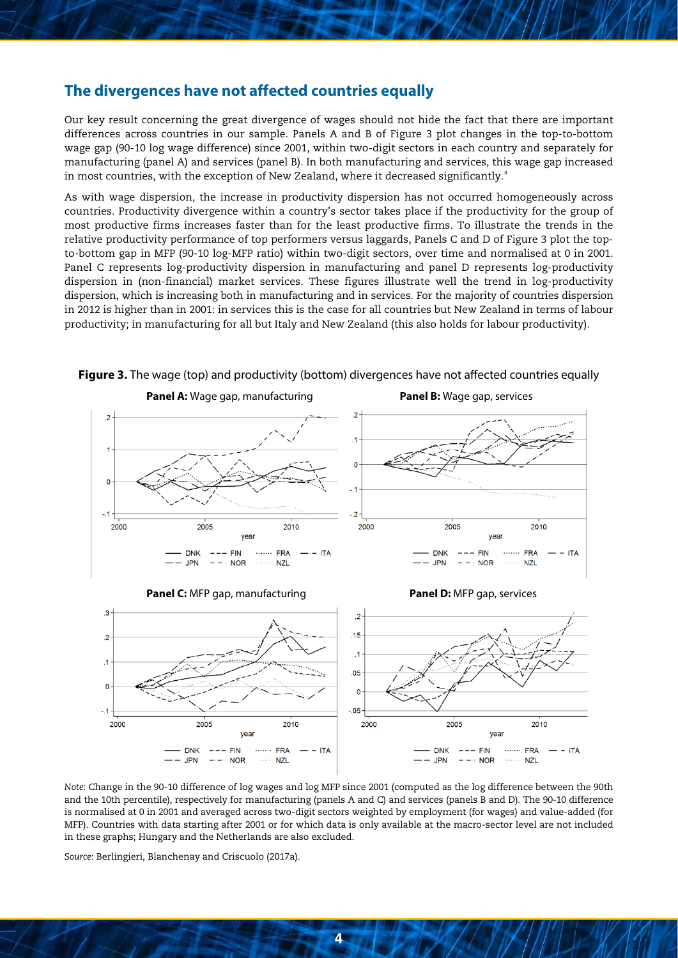#### **The divergences have not affected countries equally**

Our key result concerning the great divergence of wages should not hide the fact that there are important differences across countries in our sample. Panels A and B of Figure 3 plot changes in the top-to-bottom wage gap (90-10 log wage difference) since 2001, within two-digit sectors in each country and separately for manufacturing (panel A) and services (panel B). In both manufacturing and services, this wage gap increased in most countries, with the exception of New Zealand, where it decreased significantly.<sup>[4](#page-5-3)</sup>

As with wage dispersion, the increase in productivity dispersion has not occurred homogeneously across countries. Productivity divergence within a country's sector takes place if the productivity for the group of most productive firms increases faster than for the least productive firms. To illustrate the trends in the relative productivity performance of top performers versus laggards, Panels C and D of Figure 3 plot the topto-bottom gap in MFP (90-10 log-MFP ratio) within two-digit sectors, over time and normalised at 0 in 2001. Panel C represents log-productivity dispersion in manufacturing and panel D represents log-productivity dispersion in (non-financial) market services. These figures illustrate well the trend in log-productivity dispersion, which is increasing both in manufacturing and in services. For the majority of countries dispersion in 2012 is higher than in 2001: in services this is the case for all countries but New Zealand in terms of labour productivity; in manufacturing for all but Italy and New Zealand (this also holds for labour productivity).



**Figure 3.** The wage (top) and productivity (bottom) divergences have not affected countries equally

*Note*: Change in the 90-10 difference of log wages and log MFP since 2001 (computed as the log difference between the 90th and the 10th percentile), respectively for manufacturing (panels A and C) and services (panels B and D). The 90-10 difference is normalised at 0 in 2001 and averaged across two-digit sectors weighted by employment (for wages) and value-added (for MFP). Countries with data starting after 2001 or for which data is only available at the macro-sector level are not included in these graphs; Hungary and the Netherlands are also excluded.

*Source*: Berlingieri, Blanchenay and Criscuolo (2017a).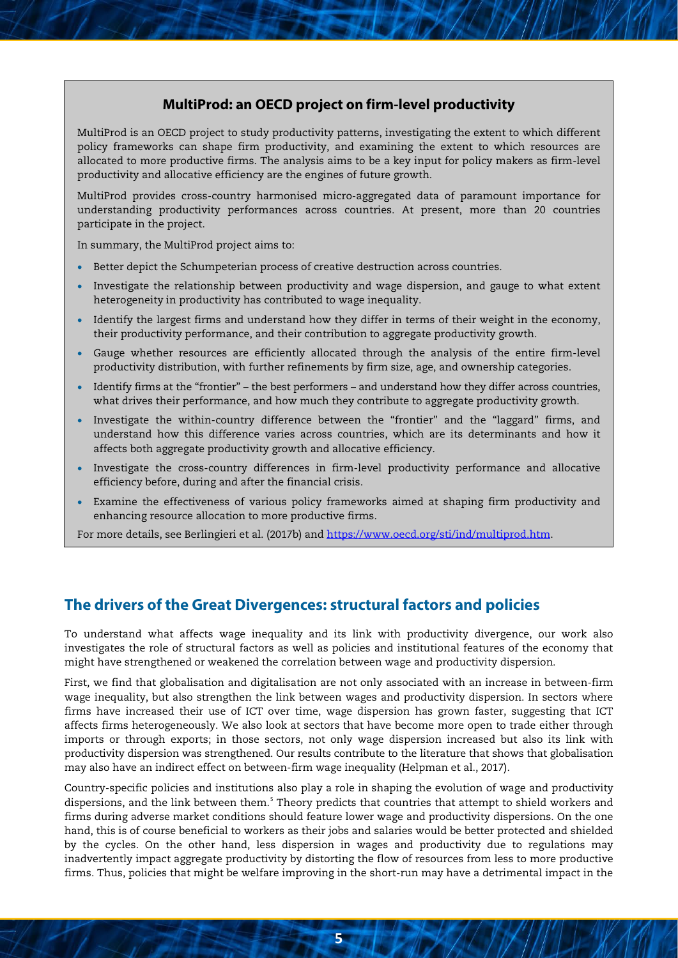### **MultiProd: an OECD project on firm-level productivity**

MultiProd is an OECD project to study productivity patterns, investigating the extent to which different policy frameworks can shape firm productivity, and examining the extent to which resources are allocated to more productive firms. The analysis aims to be a key input for policy makers as firm-level productivity and allocative efficiency are the engines of future growth.

MultiProd provides cross-country harmonised micro-aggregated data of paramount importance for understanding productivity performances across countries. At present, more than 20 countries participate in the project.

In summary, the MultiProd project aims to:

- Better depict the Schumpeterian process of creative destruction across countries.
- Investigate the relationship between productivity and wage dispersion, and gauge to what extent heterogeneity in productivity has contributed to wage inequality.
- Identify the largest firms and understand how they differ in terms of their weight in the economy, their productivity performance, and their contribution to aggregate productivity growth.
- Gauge whether resources are efficiently allocated through the analysis of the entire firm-level productivity distribution, with further refinements by firm size, age, and ownership categories.
- Identify firms at the "frontier" the best performers and understand how they differ across countries, what drives their performance, and how much they contribute to aggregate productivity growth.
- Investigate the within-country difference between the "frontier" and the "laggard" firms, and understand how this difference varies across countries, which are its determinants and how it affects both aggregate productivity growth and allocative efficiency.
- Investigate the cross-country differences in firm-level productivity performance and allocative efficiency before, during and after the financial crisis.
- Examine the effectiveness of various policy frameworks aimed at shaping firm productivity and enhancing resource allocation to more productive firms.

For more details, see Berlingieri et al. (2017b) and [https://www.oecd.org/sti/ind/multiprod.htm.](https://www.oecd.org/sti/ind/multiprod.htm)

### **The drivers of the Great Divergences: structural factors and policies**

To understand what affects wage inequality and its link with productivity divergence, our work also investigates the role of structural factors as well as policies and institutional features of the economy that might have strengthened or weakened the correlation between wage and productivity dispersion.

First, we find that globalisation and digitalisation are not only associated with an increase in between-firm wage inequality, but also strengthen the link between wages and productivity dispersion. In sectors where firms have increased their use of ICT over time, wage dispersion has grown faster, suggesting that ICT affects firms heterogeneously. We also look at sectors that have become more open to trade either through imports or through exports; in those sectors, not only wage dispersion increased but also its link with productivity dispersion was strengthened. Our results contribute to the literature that shows that globalisation may also have an indirect effect on between-firm wage inequality (Helpman et al., 2017).

Country-specific policies and institutions also play a role in shaping the evolution of wage and productivity dispersions, and the link between them.<sup>[5](#page-5-4)</sup> Theory predicts that countries that attempt to shield workers and firms during adverse market conditions should feature lower wage and productivity dispersions. On the one hand, this is of course beneficial to workers as their jobs and salaries would be better protected and shielded by the cycles. On the other hand, less dispersion in wages and productivity due to regulations may inadvertently impact aggregate productivity by distorting the flow of resources from less to more productive firms. Thus, policies that might be welfare improving in the short-run may have a detrimental impact in the

**5**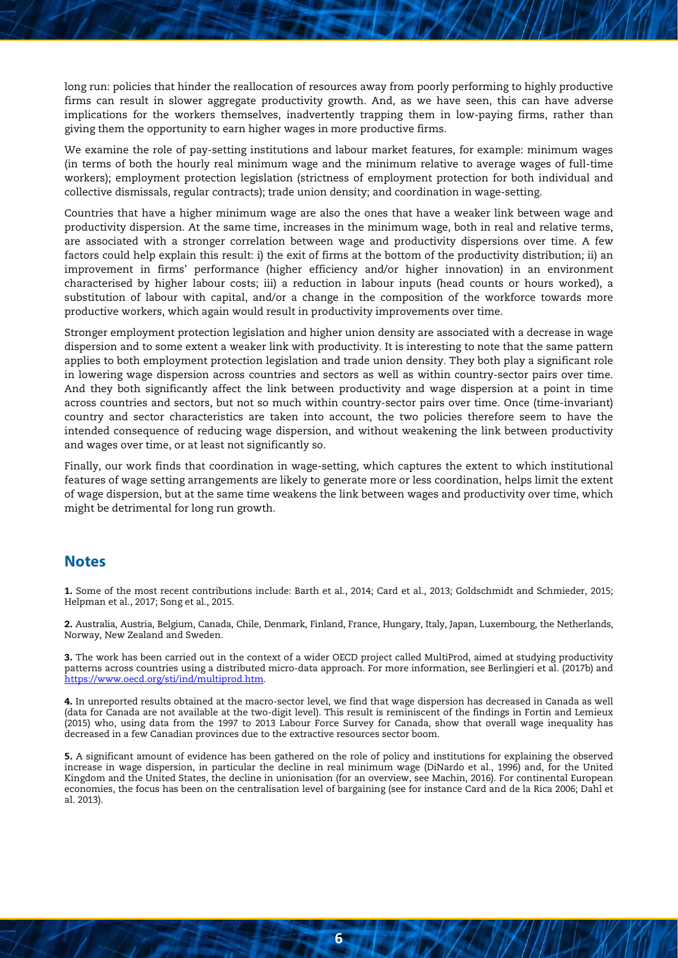long run: policies that hinder the reallocation of resources away from poorly performing to highly productive firms can result in slower aggregate productivity growth. And, as we have seen, this can have adverse implications for the workers themselves, inadvertently trapping them in low-paying firms, rather than giving them the opportunity to earn higher wages in more productive firms.

We examine the role of pay-setting institutions and labour market features, for example: minimum wages (in terms of both the hourly real minimum wage and the minimum relative to average wages of full-time workers); employment protection legislation (strictness of employment protection for both individual and collective dismissals, regular contracts); trade union density; and coordination in wage-setting.

Countries that have a higher minimum wage are also the ones that have a weaker link between wage and productivity dispersion. At the same time, increases in the minimum wage, both in real and relative terms, are associated with a stronger correlation between wage and productivity dispersions over time. A few factors could help explain this result: i) the exit of firms at the bottom of the productivity distribution; ii) an improvement in firms' performance (higher efficiency and/or higher innovation) in an environment characterised by higher labour costs; iii) a reduction in labour inputs (head counts or hours worked), a substitution of labour with capital, and/or a change in the composition of the workforce towards more productive workers, which again would result in productivity improvements over time.

Stronger employment protection legislation and higher union density are associated with a decrease in wage dispersion and to some extent a weaker link with productivity. It is interesting to note that the same pattern applies to both employment protection legislation and trade union density. They both play a significant role in lowering wage dispersion across countries and sectors as well as within country-sector pairs over time. And they both significantly affect the link between productivity and wage dispersion at a point in time across countries and sectors, but not so much within country-sector pairs over time. Once (time-invariant) country and sector characteristics are taken into account, the two policies therefore seem to have the intended consequence of reducing wage dispersion, and without weakening the link between productivity and wages over time, or at least not significantly so.

Finally, our work finds that coordination in wage-setting, which captures the extent to which institutional features of wage setting arrangements are likely to generate more or less coordination, helps limit the extent of wage dispersion, but at the same time weakens the link between wages and productivity over time, which might be detrimental for long run growth.

#### **Notes**

<span id="page-5-0"></span>1. Some of the most recent contributions include: Barth et al., 2014; Card et al., 2013; Goldschmidt and Schmieder, 2015; Helpman et al., 2017; Song et al., 2015.

<span id="page-5-1"></span>2. Australia, Austria, Belgium, Canada, Chile, Denmark, Finland, France, Hungary, Italy, Japan, Luxembourg, the Netherlands, Norway, New Zealand and Sweden.

<span id="page-5-2"></span>3. The work has been carried out in the context of a wider OECD project called MultiProd, aimed at studying productivity patterns across countries using a distributed micro-data approach. For more information, see Berlingieri et al. (2017b) and [https://www.oecd.org/sti/ind/multiprod.htm.](https://www.oecd.org/sti/ind/multiprod.htm)

<span id="page-5-3"></span>4. In unreported results obtained at the macro-sector level, we find that wage dispersion has decreased in Canada as well (data for Canada are not available at the two-digit level). This result is reminiscent of the findings in Fortin and Lemieux (2015) who, using data from the 1997 to 2013 Labour Force Survey for Canada, show that overall wage inequality has decreased in a few Canadian provinces due to the extractive resources sector boom.

<span id="page-5-4"></span>5. A significant amount of evidence has been gathered on the role of policy and institutions for explaining the observed increase in wage dispersion, in particular the decline in real minimum wage (DiNardo et al., 1996) and, for the United Kingdom and the United States, the decline in unionisation (for an overview, see Machin, 2016). For continental European economies, the focus has been on the centralisation level of bargaining (see for instance Card and de la Rica 2006; Dahl et al. 2013).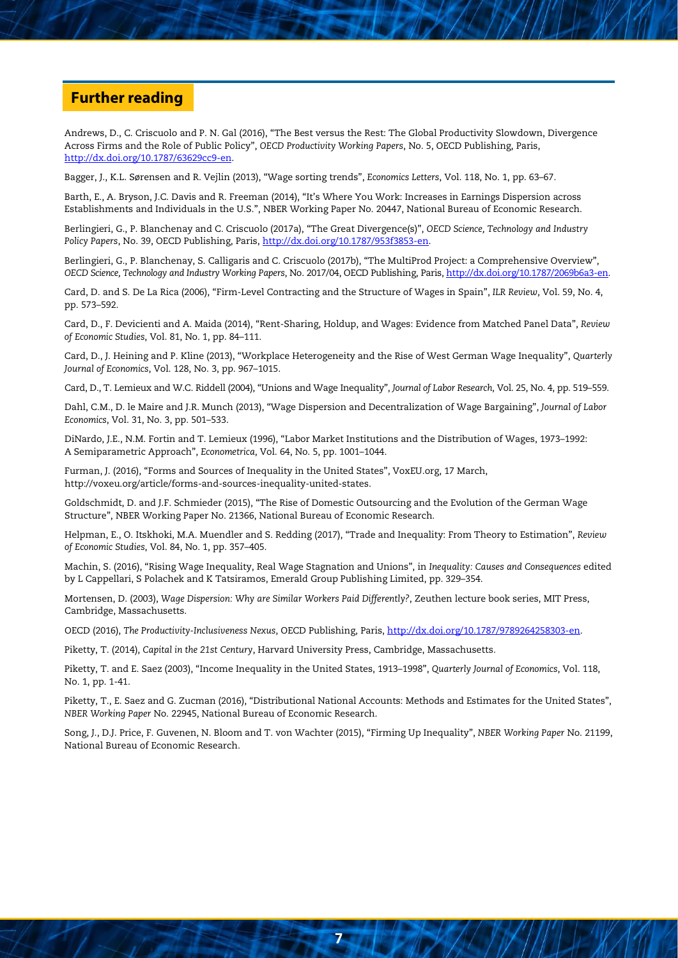### **Further reading**

Andrews, D., C. Criscuolo and P. N. Gal (2016), "The Best versus the Rest: The Global Productivity Slowdown, Divergence Across Firms and the Role of Public Policy", *OECD Productivity Working Papers*, No. 5, OECD Publishing, Paris, [http://dx.doi.org/10.1787/63629cc9-en.](http://dx.doi.org/10.1787/63629cc9-en)

Bagger, J., K.L. Sørensen and R. Vejlin (2013), "Wage sorting trends", *Economics Letters*, Vol. 118, No. 1, pp. 63–67.

Barth, E., A. Bryson, J.C. Davis and R. Freeman (2014), "It's Where You Work: Increases in Earnings Dispersion across Establishments and Individuals in the U.S.", NBER Working Paper No. 20447, National Bureau of Economic Research.

Berlingieri, G., P. Blanchenay and C. Criscuolo (2017a), "The Great Divergence(s)", *OECD Science, Technology and Industry Policy Papers*, No. 39, OECD Publishing, Paris[, http://dx.doi.org/10.1787/953f3853-en.](http://dx.doi.org/10.1787/953f3853-en)

Berlingieri, G., P. Blanchenay, S. Calligaris and C. Criscuolo (2017b), "The MultiProd Project: a Comprehensive Overview", *OECD Science, Technology and Industry Working Papers*, No. 2017/04, OECD Publishing, Paris, http://dx.doi.org/10.1787/2069b6a3-en.

Card, D. and S. De La Rica (2006), "Firm-Level Contracting and the Structure of Wages in Spain", *ILR Review*, Vol. 59, No. 4, pp. 573–592.

Card, D., F. Devicienti and A. Maida (2014), "Rent-Sharing, Holdup, and Wages: Evidence from Matched Panel Data", *Review of Economic Studies*, Vol. 81, No. 1, pp. 84–111.

Card, D., J. Heining and P. Kline (2013), "Workplace Heterogeneity and the Rise of West German Wage Inequality", *Quarterly Journal of Economics*, Vol. 128, No. 3, pp. 967–1015.

Card, D., T. Lemieux and W.C. Riddell (2004), "Unions and Wage Inequality", *Journal of Labor Research*, Vol. 25, No. 4, pp. 519–559.

Dahl, C.M., D. le Maire and J.R. Munch (2013), "Wage Dispersion and Decentralization of Wage Bargaining", *Journal of Labor Economics*, Vol. 31, No. 3, pp. 501–533.

DiNardo, J.E., N.M. Fortin and T. Lemieux (1996), "Labor Market Institutions and the Distribution of Wages, 1973–1992: A Semiparametric Approach", *Econometrica*, Vol. 64, No. 5, pp. 1001–1044.

Furman, J. (2016), "Forms and Sources of Inequality in the United States", VoxEU.org, 17 March, http://voxeu.org/article/forms-and-sources-inequality-united-states.

Goldschmidt, D. and J.F. Schmieder (2015), "The Rise of Domestic Outsourcing and the Evolution of the German Wage Structure", NBER Working Paper No. 21366, National Bureau of Economic Research.

Helpman, E., O. Itskhoki, M.A. Muendler and S. Redding (2017), "Trade and Inequality: From Theory to Estimation", *Review of Economic Studies*, Vol. 84, No. 1, pp. 357–405.

Machin, S. (2016), "Rising Wage Inequality, Real Wage Stagnation and Unions", in *Inequality: Causes and Consequences* edited by L Cappellari, S Polachek and K Tatsiramos, Emerald Group Publishing Limited, pp. 329–354.

Mortensen, D. (2003), *Wage Dispersion: Why are Similar Workers Paid Differently?*, Zeuthen lecture book series, MIT Press, Cambridge, Massachusetts.

OECD (2016), *The Productivity-Inclusiveness Nexus*, OECD Publishing, Paris, [http://dx.doi.org/10.1787/9789264258303-en.](http://dx.doi.org/10.1787/9789264258303-en)

Piketty, T. (2014), *Capital in the 21st Century*, Harvard University Press, Cambridge, Massachusetts.

Piketty, T. and E. Saez (2003), "Income Inequality in the United States, 1913–1998", *Quarterly Journal of Economics*, Vol. 118, No. 1, pp. 1-41.

Piketty, T., E. Saez and G. Zucman (2016), "Distributional National Accounts: Methods and Estimates for the United States", *NBER Working Paper* No. 22945, National Bureau of Economic Research.

Song, J., D.J. Price, F. Guvenen, N. Bloom and T. von Wachter (2015), "Firming Up Inequality", *NBER Working Paper* No. 21199, National Bureau of Economic Research.

**7**